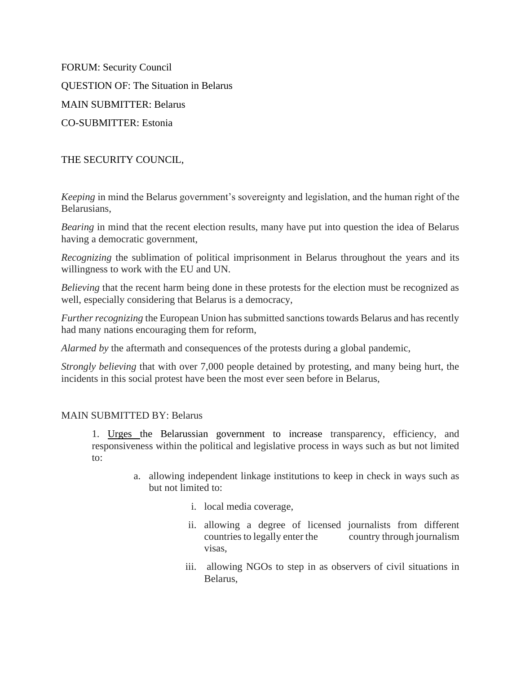FORUM: Security Council QUESTION OF: The Situation in Belarus MAIN SUBMITTER: Belarus CO-SUBMITTER: Estonia

THE SECURITY COUNCIL,

*Keeping* in mind the Belarus government's sovereignty and legislation, and the human right of the Belarusians,

*Bearing* in mind that the recent election results, many have put into question the idea of Belarus having a democratic government,

*Recognizing* the sublimation of political imprisonment in Belarus throughout the years and its willingness to work with the EU and UN.

*Believing* that the recent harm being done in these protests for the election must be recognized as well, especially considering that Belarus is a democracy,

*Further recognizing* the European Union has submitted sanctions towards Belarus and has recently had many nations encouraging them for reform,

*Alarmed by* the aftermath and consequences of the protests during a global pandemic,

*Strongly believing* that with over 7,000 people detained by protesting, and many being hurt, the incidents in this social protest have been the most ever seen before in Belarus,

# MAIN SUBMITTED BY: Belarus

1. Urges the Belarussian government to increase transparency, efficiency, and responsiveness within the political and legislative process in ways such as but not limited to:

- a. allowing independent linkage institutions to keep in check in ways such as but not limited to:
	- i. local media coverage,
	- ii. allowing a degree of licensed journalists from different countries to legally enter the country through journalism visas,
	- iii. allowing NGOs to step in as observers of civil situations in Belarus,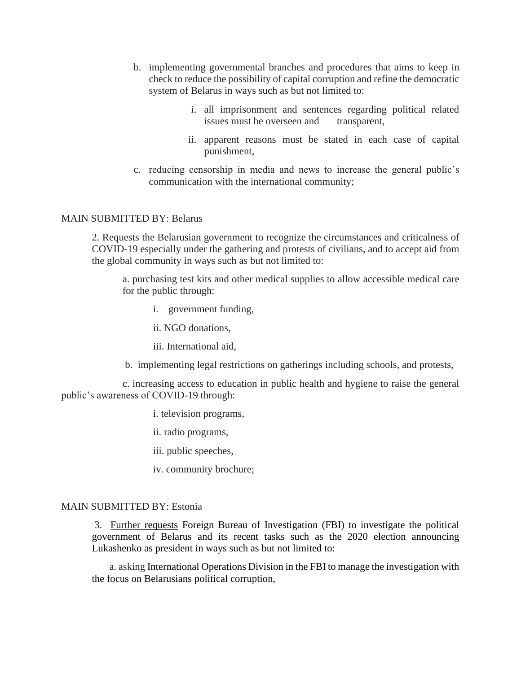- b. implementing governmental branches and procedures that aims to keep in check to reduce the possibility of capital corruption and refine the democratic system of Belarus in ways such as but not limited to:
	- i. all imprisonment and sentences regarding political related issues must be overseen and transparent,
	- ii. apparent reasons must be stated in each case of capital punishment,
- c. reducing censorship in media and news to increase the general public's communication with the international community;

## MAIN SUBMITTED BY: Belarus

2. Requests the Belarusian government to recognize the circumstances and criticalness of COVID-19 especially under the gathering and protests of civilians, and to accept aid from the global community in ways such as but not limited to:

a. purchasing test kits and other medical supplies to allow accessible medical care for the public through:

- i. government funding,
- ii. NGO donations,
- iii. International aid,
- b. implementing legal restrictions on gatherings including schools, and protests,

 c. increasing access to education in public health and hygiene to raise the general public's awareness of COVID-19 through:

- i. television programs,
- ii. radio programs,
- iii. public speeches,
- iv. community brochure;

## MAIN SUBMITTED BY: Estonia

3. Further requests Foreign Bureau of Investigation (FBI) to investigate the political government of Belarus and its recent tasks such as the 2020 election announcing Lukashenko as president in ways such as but not limited to:

a. asking International Operations Division in the FBI to manage the investigation with the focus on Belarusians political corruption,